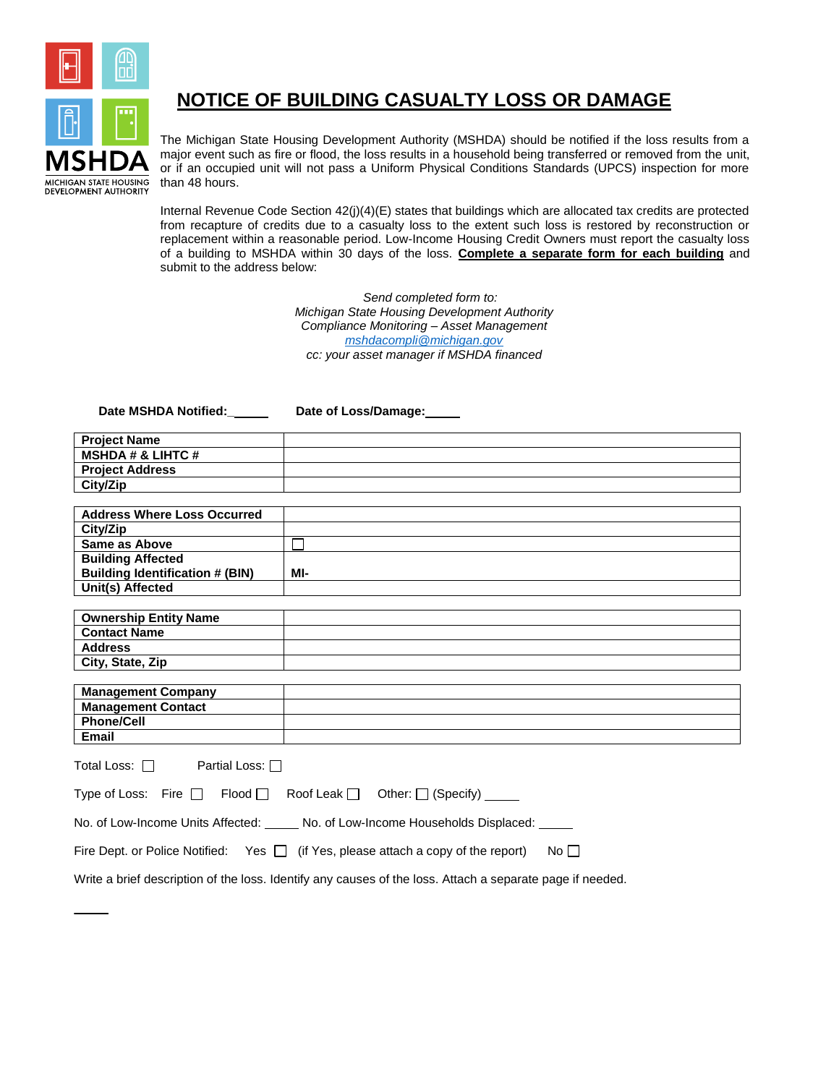

## **NOTICE OF BUILDING CASUALTY LOSS OR DAMAGE**

The Michigan State Housing Development Authority (MSHDA) should be notified if the loss results from a major event such as fire or flood, the loss results in a household being transferred or removed from the unit, or if an occupied unit will not pass a Uniform Physical Conditions Standards (UPCS) inspection for more than 48 hours.

Internal Revenue Code Section 42(j)(4)(E) states that buildings which are allocated tax credits are protected from recapture of credits due to a casualty loss to the extent such loss is restored by reconstruction or replacement within a reasonable period. Low-Income Housing Credit Owners must report the casualty loss of a building to MSHDA within 30 days of the loss. **Complete a separate form for each building** and submit to the address below:

> *Send completed form to: Michigan State Housing Development Authority Compliance Monitoring – Asset Management [mshdacompli@michigan.gov](mailto:mshdacompli@michigan.gov) cc: your asset manager if MSHDA financed*

**Date MSHDA Notified:\_ Date of Loss/Damage:**

| <b>Project Name</b>          |  |
|------------------------------|--|
| <b>MSHDA # &amp; LIHTC #</b> |  |
| <b>Project Address</b>       |  |
| City/Zip                     |  |

| <b>Address Where Loss Occurred</b>     |     |
|----------------------------------------|-----|
| City/Zip                               |     |
| Same as Above                          |     |
| <b>Building Affected</b>               |     |
| <b>Building Identification # (BIN)</b> | MI- |
| Unit(s) Affected                       |     |

| <b>Ownership Entity Name</b> |  |
|------------------------------|--|
| <b>Contact Name</b>          |  |
| Address                      |  |
| City, State, Zip             |  |

| <b>Management Company</b> |  |
|---------------------------|--|
| <b>Management Contact</b> |  |
| <b>Phone/Cell</b>         |  |
| Email                     |  |

| Total Loss: $\Box$<br>Partial Loss: $\Box$                                             |       |  |
|----------------------------------------------------------------------------------------|-------|--|
| Type of Loss: Fire $\Box$ Flood $\Box$ Roof Leak $\Box$ Other: $\Box$ (Specify) _____  |       |  |
| No. of Low-Income Units Affected: _____ No. of Low-Income Households Displaced: _____  |       |  |
| Fire Dept. or Police Notified: Yes $\Box$ (if Yes, please attach a copy of the report) | No II |  |
|                                                                                        |       |  |

Write a brief description of the loss. Identify any causes of the loss. Attach a separate page if needed.